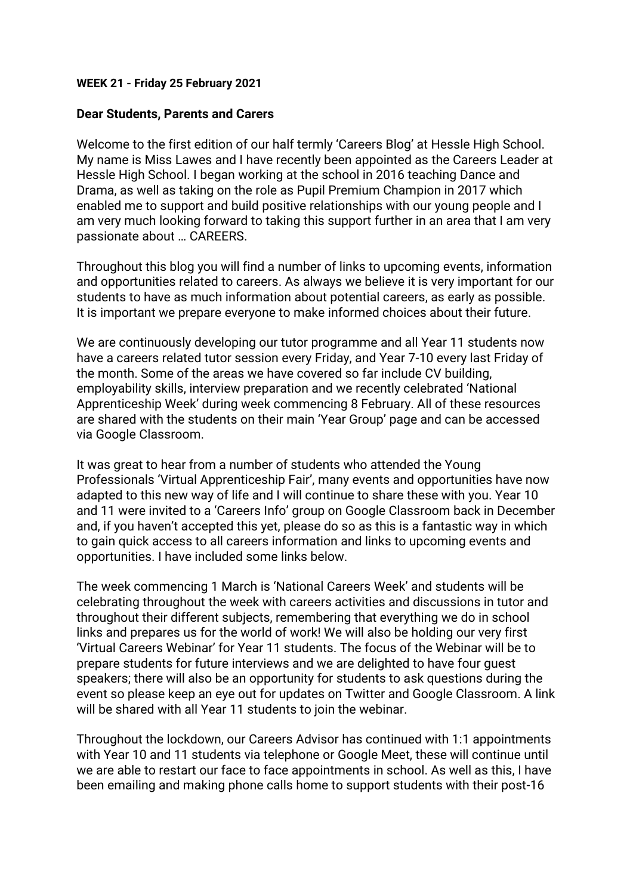### **WEEK 21 - Friday 25 February 2021**

## **Dear Students, Parents and Carers**

Welcome to the first edition of our half termly 'Careers Blog' at Hessle High School. My name is Miss Lawes and I have recently been appointed as the Careers Leader at Hessle High School. I began working at the school in 2016 teaching Dance and Drama, as well as taking on the role as Pupil Premium Champion in 2017 which enabled me to support and build positive relationships with our young people and I am very much looking forward to taking this support further in an area that I am very passionate about … CAREERS.

Throughout this blog you will find a number of links to upcoming events, information and opportunities related to careers. As always we believe it is very important for our students to have as much information about potential careers, as early as possible. It is important we prepare everyone to make informed choices about their future.

We are continuously developing our tutor programme and all Year 11 students now have a careers related tutor session every Friday, and Year 7-10 every last Friday of the month. Some of the areas we have covered so far include CV building, employability skills, interview preparation and we recently celebrated 'National Apprenticeship Week' during week commencing 8 February. All of these resources are shared with the students on their main 'Year Group' page and can be accessed via Google Classroom.

It was great to hear from a number of students who attended the Young Professionals 'Virtual Apprenticeship Fair', many events and opportunities have now adapted to this new way of life and I will continue to share these with you. Year 10 and 11 were invited to a 'Careers Info' group on Google Classroom back in December and, if you haven't accepted this yet, please do so as this is a fantastic way in which to gain quick access to all careers information and links to upcoming events and opportunities. I have included some links below.

The week commencing 1 March is 'National Careers Week' and students will be celebrating throughout the week with careers activities and discussions in tutor and throughout their different subjects, remembering that everything we do in school links and prepares us for the world of work! We will also be holding our very first 'Virtual Careers Webinar' for Year 11 students. The focus of the Webinar will be to prepare students for future interviews and we are delighted to have four guest speakers; there will also be an opportunity for students to ask questions during the event so please keep an eye out for updates on Twitter and Google Classroom. A link will be shared with all Year 11 students to join the webinar.

Throughout the lockdown, our Careers Advisor has continued with 1:1 appointments with Year 10 and 11 students via telephone or Google Meet, these will continue until we are able to restart our face to face appointments in school. As well as this, I have been emailing and making phone calls home to support students with their post-16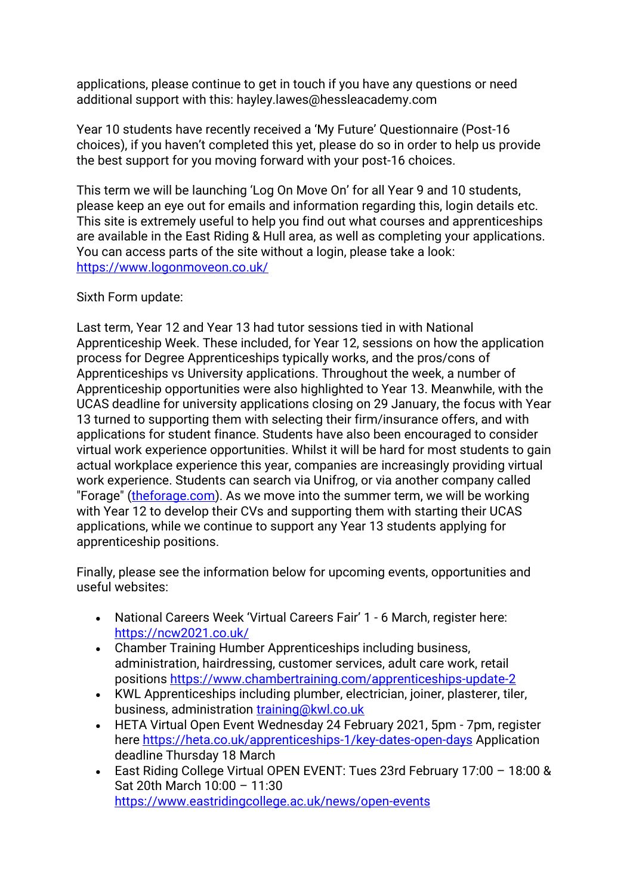applications, please continue to get in touch if you have any questions or need additional support with this: hayley.lawes@hessleacademy.com

Year 10 students have recently received a 'My Future' Questionnaire (Post-16 choices), if you haven't completed this yet, please do so in order to help us provide the best support for you moving forward with your post-16 choices.

This term we will be launching 'Log On Move On' for all Year 9 and 10 students, please keep an eye out for emails and information regarding this, login details etc. This site is extremely useful to help you find out what courses and apprenticeships are available in the East Riding & Hull area, as well as completing your applications. You can access parts of the site without a login, please take a look: <https://www.logonmoveon.co.uk/>

# Sixth Form update:

Last term, Year 12 and Year 13 had tutor sessions tied in with National Apprenticeship Week. These included, for Year 12, sessions on how the application process for Degree Apprenticeships typically works, and the pros/cons of Apprenticeships vs University applications. Throughout the week, a number of Apprenticeship opportunities were also highlighted to Year 13. Meanwhile, with the UCAS deadline for university applications closing on 29 January, the focus with Year 13 turned to supporting them with selecting their firm/insurance offers, and with applications for student finance. Students have also been encouraged to consider virtual work experience opportunities. Whilst it will be hard for most students to gain actual workplace experience this year, companies are increasingly providing virtual work experience. Students can search via Unifrog, or via another company called "Forage" [\(theforage.com\)](https://www.theforage.com/). As we move into the summer term, we will be working with Year 12 to develop their CVs and supporting them with starting their UCAS applications, while we continue to support any Year 13 students applying for apprenticeship positions.

Finally, please see the information below for upcoming events, opportunities and useful websites:

- National Careers Week 'Virtual Careers Fair' 1 6 March, register here: <https://ncw2021.co.uk/>
- Chamber Training Humber Apprenticeships including business, administration, hairdressing, customer services, adult care work, retail positions<https://www.chambertraining.com/apprenticeships-update-2>
- KWL Apprenticeships including plumber, electrician, joiner, plasterer, tiler, business, administration [training@kwl.co.uk](http://mailto:training@kwl.co.uk/)
- HETA Virtual Open Event Wednesday 24 February 2021, 5pm 7pm, register here<https://heta.co.uk/apprenticeships-1/key-dates-open-days> Application deadline Thursday 18 March
- East Riding College Virtual OPEN EVENT: Tues 23rd February 17:00 18:00 & Sat 20th March 10:00 – 11:30 <https://www.eastridingcollege.ac.uk/news/open-events>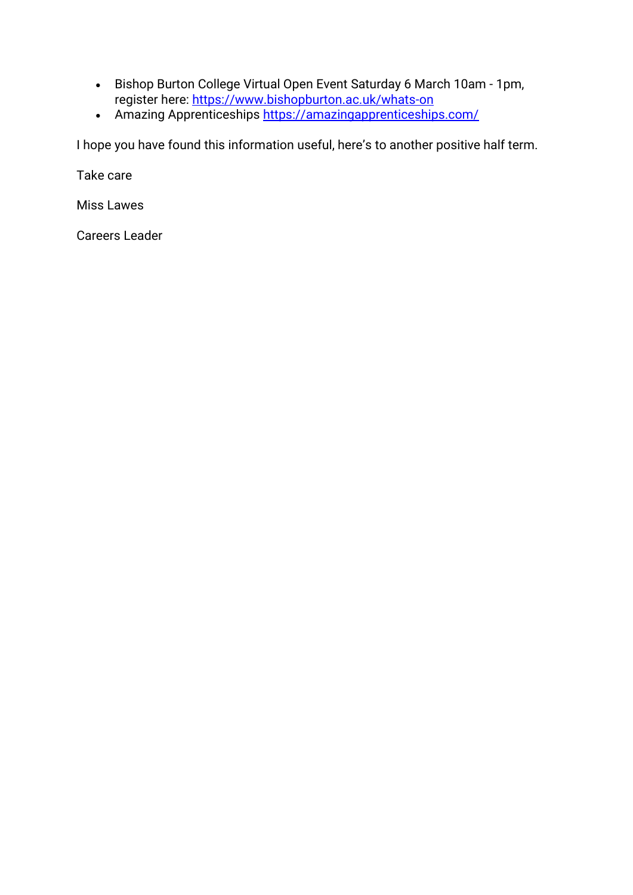- Bishop Burton College Virtual Open Event Saturday 6 March 10am 1pm, register here:<https://www.bishopburton.ac.uk/whats-on>
- Amazing Apprenticeships<https://amazingapprenticeships.com/>

I hope you have found this information useful, here's to another positive half term.

Take care

Miss Lawes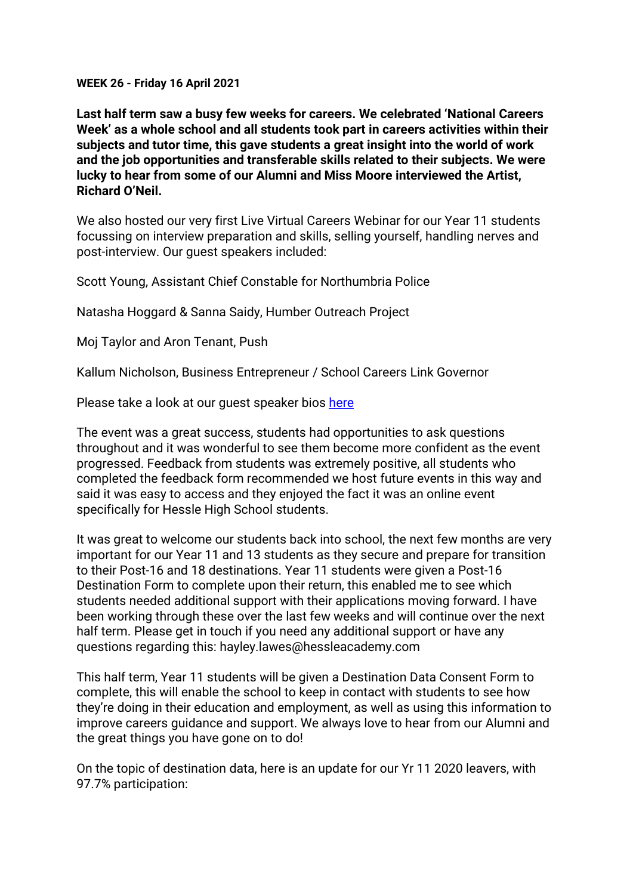**WEEK 26 - Friday 16 April 2021**

**Last half term saw a busy few weeks for careers. We celebrated 'National Careers Week' as a whole school and all students took part in careers activities within their subjects and tutor time, this gave students a great insight into the world of work and the job opportunities and transferable skills related to their subjects. We were lucky to hear from some of our Alumni and Miss Moore interviewed the Artist, Richard O'Neil.**

We also hosted our very first Live Virtual Careers Webinar for our Year 11 students focussing on interview preparation and skills, selling yourself, handling nerves and post-interview. Our guest speakers included:

Scott Young, Assistant Chief Constable for Northumbria Police

Natasha Hoggard & Sanna Saidy, Humber Outreach Project

Moj Taylor and Aron Tenant, Push

Kallum Nicholson, Business Entrepreneur / School Careers Link Governor

Please take a look at our guest speaker bios [here](/_site/data/files/users/16FD35C04FEA31D7F61C05B663CD6BEC.pdf)

The event was a great success, students had opportunities to ask questions throughout and it was wonderful to see them become more confident as the event progressed. Feedback from students was extremely positive, all students who completed the feedback form recommended we host future events in this way and said it was easy to access and they enjoyed the fact it was an online event specifically for Hessle High School students.

It was great to welcome our students back into school, the next few months are very important for our Year 11 and 13 students as they secure and prepare for transition to their Post-16 and 18 destinations. Year 11 students were given a Post-16 Destination Form to complete upon their return, this enabled me to see which students needed additional support with their applications moving forward. I have been working through these over the last few weeks and will continue over the next half term. Please get in touch if you need any additional support or have any questions regarding this: hayley.lawes@hessleacademy.com

This half term, Year 11 students will be given a Destination Data Consent Form to complete, this will enable the school to keep in contact with students to see how they're doing in their education and employment, as well as using this information to improve careers guidance and support. We always love to hear from our Alumni and the great things you have gone on to do!

On the topic of destination data, here is an update for our Yr 11 2020 leavers, with 97.7% participation: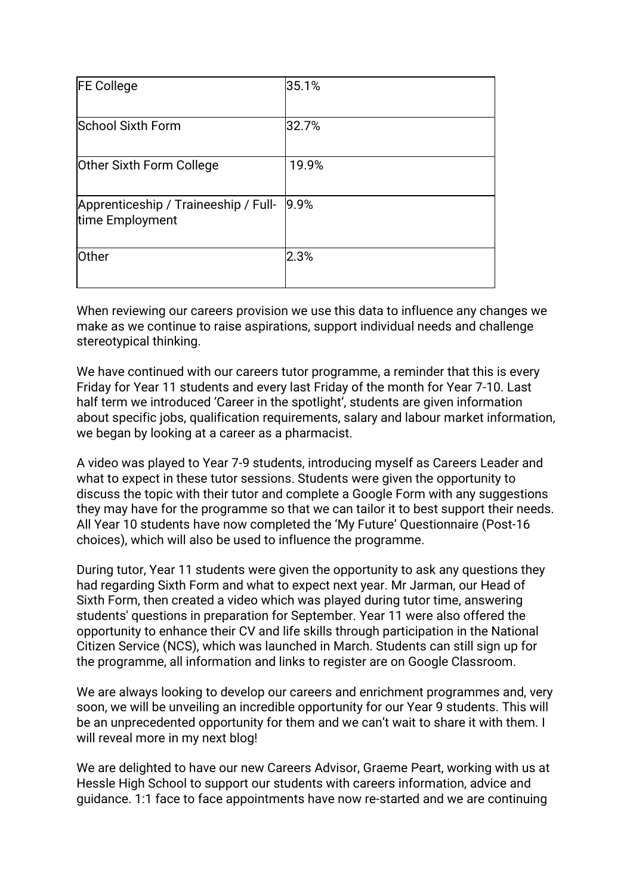| <b>FE College</b>                                       | 35.1% |
|---------------------------------------------------------|-------|
| <b>School Sixth Form</b>                                | 32.7% |
| Other Sixth Form College                                | 19.9% |
| Apprenticeship / Traineeship / Full-<br>time Employment | 9.9%  |
| <b>Other</b>                                            | 2.3%  |

When reviewing our careers provision we use this data to influence any changes we make as we continue to raise aspirations, support individual needs and challenge stereotypical thinking.

We have continued with our careers tutor programme, a reminder that this is every Friday for Year 11 students and every last Friday of the month for Year 7-10. Last half term we introduced 'Career in the spotlight', students are given information about specific jobs, qualification requirements, salary and labour market information, we began by looking at a career as a pharmacist.

A video was played to Year 7-9 students, introducing myself as Careers Leader and what to expect in these tutor sessions. Students were given the opportunity to discuss the topic with their tutor and complete a Google Form with any suggestions they may have for the programme so that we can tailor it to best support their needs. All Year 10 students have now completed the 'My Future' Questionnaire (Post-16 choices), which will also be used to influence the programme.

During tutor, Year 11 students were given the opportunity to ask any questions they had regarding Sixth Form and what to expect next year. Mr Jarman, our Head of Sixth Form, then created a video which was played during tutor time, answering students' questions in preparation for September. Year 11 were also offered the opportunity to enhance their CV and life skills through participation in the National Citizen Service (NCS), which was launched in March. Students can still sign up for the programme, all information and links to register are on Google Classroom.

We are always looking to develop our careers and enrichment programmes and, very soon, we will be unveiling an incredible opportunity for our Year 9 students. This will be an unprecedented opportunity for them and we can't wait to share it with them. I will reveal more in my next blog!

We are delighted to have our new Careers Advisor, Graeme Peart, working with us at Hessle High School to support our students with careers information, advice and guidance. 1:1 face to face appointments have now re-started and we are continuing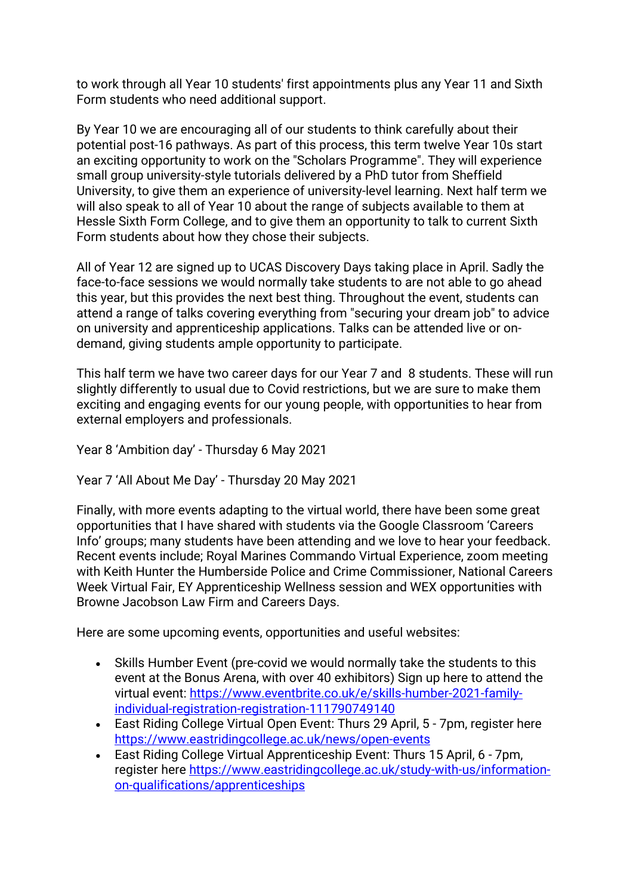to work through all Year 10 students' first appointments plus any Year 11 and Sixth Form students who need additional support.

By Year 10 we are encouraging all of our students to think carefully about their potential post-16 pathways. As part of this process, this term twelve Year 10s start an exciting opportunity to work on the "Scholars Programme". They will experience small group university-style tutorials delivered by a PhD tutor from Sheffield University, to give them an experience of university-level learning. Next half term we will also speak to all of Year 10 about the range of subjects available to them at Hessle Sixth Form College, and to give them an opportunity to talk to current Sixth Form students about how they chose their subjects.

All of Year 12 are signed up to UCAS Discovery Days taking place in April. Sadly the face-to-face sessions we would normally take students to are not able to go ahead this year, but this provides the next best thing. Throughout the event, students can attend a range of talks covering everything from "securing your dream job" to advice on university and apprenticeship applications. Talks can be attended live or ondemand, giving students ample opportunity to participate.

This half term we have two career days for our Year 7 and 8 students. These will run slightly differently to usual due to Covid restrictions, but we are sure to make them exciting and engaging events for our young people, with opportunities to hear from external employers and professionals.

Year 8 'Ambition day' - Thursday 6 May 2021

Year 7 'All About Me Day' - Thursday 20 May 2021

Finally, with more events adapting to the virtual world, there have been some great opportunities that I have shared with students via the Google Classroom 'Careers Info' groups; many students have been attending and we love to hear your feedback. Recent events include; Royal Marines Commando Virtual Experience, zoom meeting with Keith Hunter the Humberside Police and Crime Commissioner, National Careers Week Virtual Fair, EY Apprenticeship Wellness session and WEX opportunities with Browne Jacobson Law Firm and Careers Days.

Here are some upcoming events, opportunities and useful websites:

- Skills Humber Event (pre-covid we would normally take the students to this event at the Bonus Arena, with over 40 exhibitors) Sign up here to attend the virtual event: [https://www.eventbrite.co.uk/e/skills-humber-2021-family](https://www.eventbrite.co.uk/e/skills-humber-2021-family-individual-registration-registration-111790749140)[individual-registration-registration-111790749140](https://www.eventbrite.co.uk/e/skills-humber-2021-family-individual-registration-registration-111790749140)
- East Riding College Virtual Open Event: Thurs 29 April, 5 7pm, register here <https://www.eastridingcollege.ac.uk/news/open-events>
- East Riding College Virtual Apprenticeship Event: Thurs 15 April, 6 7pm, register here [https://www.eastridingcollege.ac.uk/study-with-us/information](https://www.eastridingcollege.ac.uk/study-with-us/information-on-qualifications/apprenticeships)[on-qualifications/apprenticeships](https://www.eastridingcollege.ac.uk/study-with-us/information-on-qualifications/apprenticeships)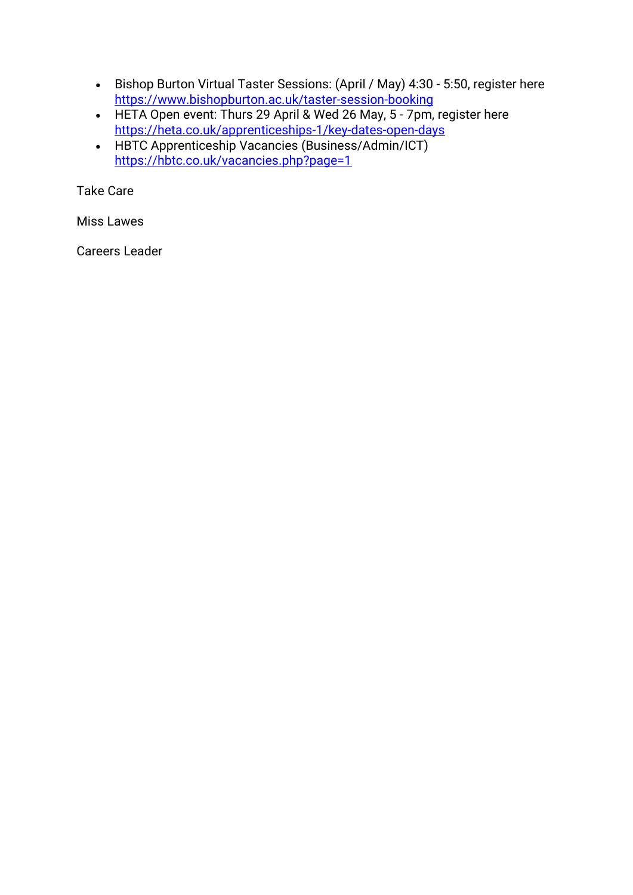- Bishop Burton Virtual Taster Sessions: (April / May) 4:30 5:50, register here <https://www.bishopburton.ac.uk/taster-session-booking>
- HETA Open event: Thurs 29 April & Wed 26 May, 5 7pm, register here <https://heta.co.uk/apprenticeships-1/key-dates-open-days>
- HBTC Apprenticeship Vacancies (Business/Admin/ICT[\)](https://hbtc.co.uk/vacancies.php?page=1) <https://hbtc.co.uk/vacancies.php?page=1>

Take Care

Miss Lawes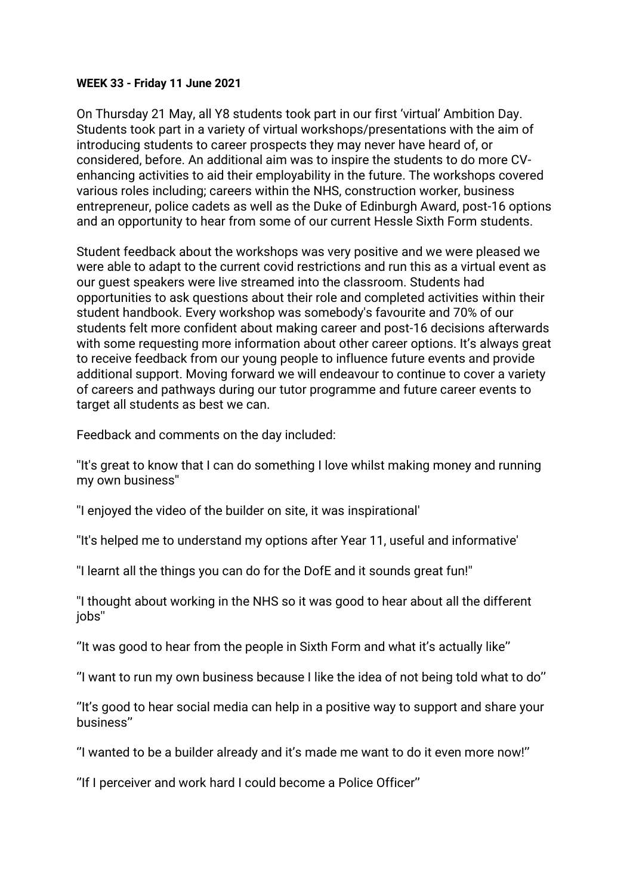### **WEEK 33 - Friday 11 June 2021**

On Thursday 21 May, all Y8 students took part in our first 'virtual' Ambition Day. Students took part in a variety of virtual workshops/presentations with the aim of introducing students to career prospects they may never have heard of, or considered, before. An additional aim was to inspire the students to do more CVenhancing activities to aid their employability in the future. The workshops covered various roles including; careers within the NHS, construction worker, business entrepreneur, police cadets as well as the Duke of Edinburgh Award, post-16 options and an opportunity to hear from some of our current Hessle Sixth Form students.

Student feedback about the workshops was very positive and we were pleased we were able to adapt to the current covid restrictions and run this as a virtual event as our guest speakers were live streamed into the classroom. Students had opportunities to ask questions about their role and completed activities within their student handbook. Every workshop was somebody's favourite and 70% of our students felt more confident about making career and post-16 decisions afterwards with some requesting more information about other career options. It's always great to receive feedback from our young people to influence future events and provide additional support. Moving forward we will endeavour to continue to cover a variety of careers and pathways during our tutor programme and future career events to target all students as best we can.

Feedback and comments on the day included:

''It's great to know that I can do something I love whilst making money and running my own business''

''I enjoyed the video of the builder on site, it was inspirational'

''It's helped me to understand my options after Year 11, useful and informative'

''I learnt all the things you can do for the DofE and it sounds great fun!''

''I thought about working in the NHS so it was good to hear about all the different jobs''

''It was good to hear from the people in Sixth Form and what it's actually like''

''I want to run my own business because I like the idea of not being told what to do''

''It's good to hear social media can help in a positive way to support and share your business''

''I wanted to be a builder already and it's made me want to do it even more now!''

''If I perceiver and work hard I could become a Police Officer''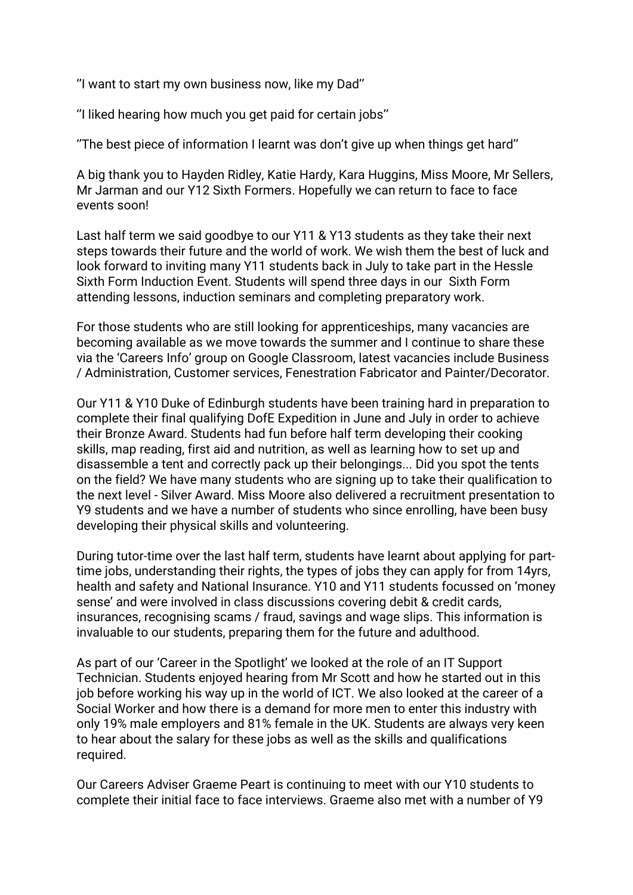''I want to start my own business now, like my Dad''

''I liked hearing how much you get paid for certain jobs''

''The best piece of information I learnt was don't give up when things get hard''

A big thank you to Hayden Ridley, Katie Hardy, Kara Huggins, Miss Moore, Mr Sellers, Mr Jarman and our Y12 Sixth Formers. Hopefully we can return to face to face events soon!

Last half term we said goodbye to our Y11 & Y13 students as they take their next steps towards their future and the world of work. We wish them the best of luck and look forward to inviting many Y11 students back in July to take part in the Hessle Sixth Form Induction Event. Students will spend three days in our Sixth Form attending lessons, induction seminars and completing preparatory work.

For those students who are still looking for apprenticeships, many vacancies are becoming available as we move towards the summer and I continue to share these via the 'Careers Info' group on Google Classroom, latest vacancies include Business / Administration, Customer services, Fenestration Fabricator and Painter/Decorator.

Our Y11 & Y10 Duke of Edinburgh students have been training hard in preparation to complete their final qualifying DofE Expedition in June and July in order to achieve their Bronze Award. Students had fun before half term developing their cooking skills, map reading, first aid and nutrition, as well as learning how to set up and disassemble a tent and correctly pack up their belongings... Did you spot the tents on the field? We have many students who are signing up to take their qualification to the next level - Silver Award. Miss Moore also delivered a recruitment presentation to Y9 students and we have a number of students who since enrolling, have been busy developing their physical skills and volunteering.

During tutor-time over the last half term, students have learnt about applying for parttime jobs, understanding their rights, the types of jobs they can apply for from 14yrs, health and safety and National Insurance. Y10 and Y11 students focussed on 'money sense' and were involved in class discussions covering debit & credit cards, insurances, recognising scams / fraud, savings and wage slips. This information is invaluable to our students, preparing them for the future and adulthood.

As part of our 'Career in the Spotlight' we looked at the role of an IT Support Technician. Students enjoyed hearing from Mr Scott and how he started out in this job before working his way up in the world of ICT. We also looked at the career of a Social Worker and how there is a demand for more men to enter this industry with only 19% male employers and 81% female in the UK. Students are always very keen to hear about the salary for these jobs as well as the skills and qualifications required.

Our Careers Adviser Graeme Peart is continuing to meet with our Y10 students to complete their initial face to face interviews. Graeme also met with a number of Y9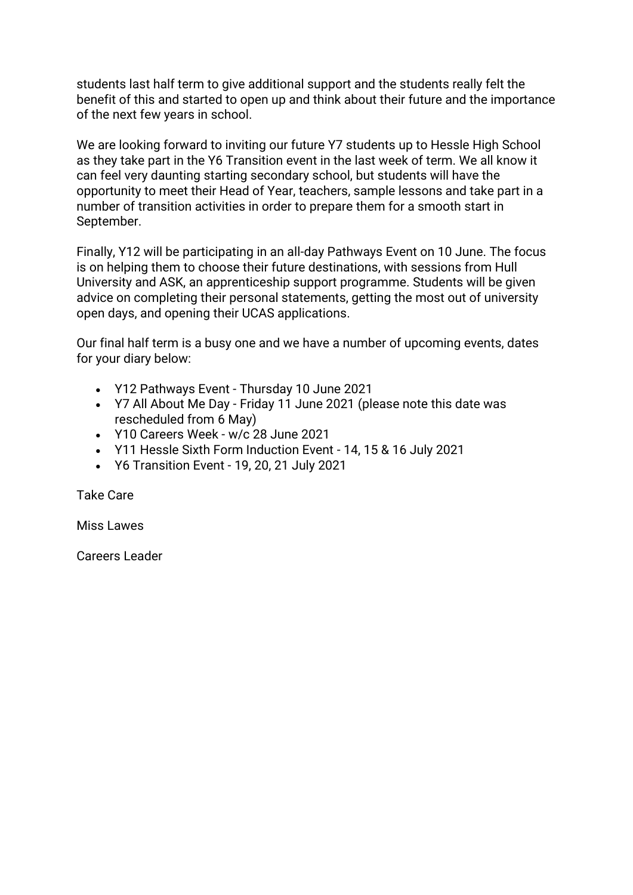students last half term to give additional support and the students really felt the benefit of this and started to open up and think about their future and the importance of the next few years in school.

We are looking forward to inviting our future Y7 students up to Hessle High School as they take part in the Y6 Transition event in the last week of term. We all know it can feel very daunting starting secondary school, but students will have the opportunity to meet their Head of Year, teachers, sample lessons and take part in a number of transition activities in order to prepare them for a smooth start in September.

Finally, Y12 will be participating in an all-day Pathways Event on 10 June. The focus is on helping them to choose their future destinations, with sessions from Hull University and ASK, an apprenticeship support programme. Students will be given advice on completing their personal statements, getting the most out of university open days, and opening their UCAS applications.

Our final half term is a busy one and we have a number of upcoming events, dates for your diary below:

- Y12 Pathways Event Thursday 10 June 2021
- Y7 All About Me Day Friday 11 June 2021 (please note this date was rescheduled from 6 May)
- Y10 Careers Week w/c 28 June 2021
- Y11 Hessle Sixth Form Induction Event 14, 15 & 16 July 2021
- Y6 Transition Event 19, 20, 21 July 2021

Take Care

Miss Lawes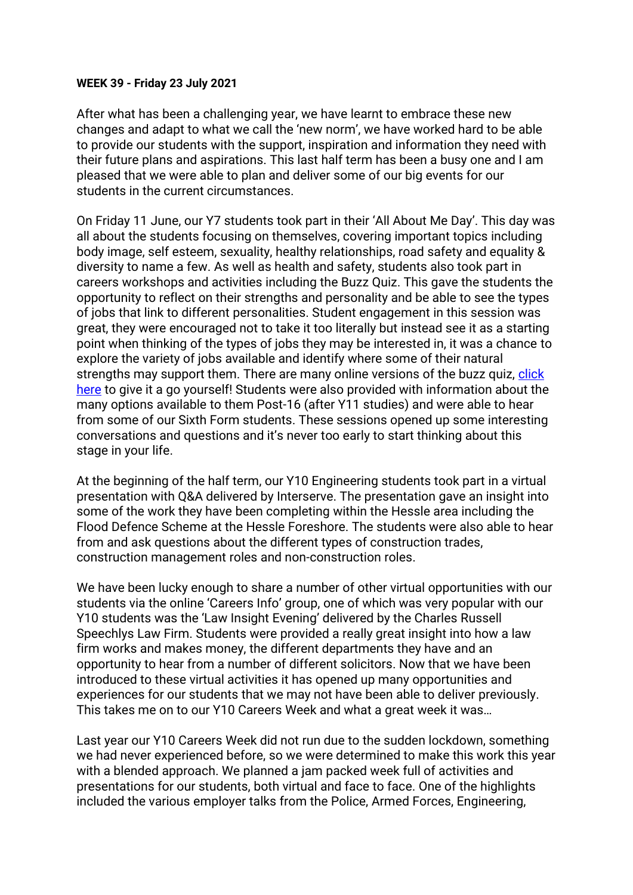### **WEEK 39 - Friday 23 July 2021**

After what has been a challenging year, we have learnt to embrace these new changes and adapt to what we call the 'new norm', we have worked hard to be able to provide our students with the support, inspiration and information they need with their future plans and aspirations. This last half term has been a busy one and I am pleased that we were able to plan and deliver some of our big events for our students in the current circumstances.

On Friday 11 June, our Y7 students took part in their 'All About Me Day'. This day was all about the students focusing on themselves, covering important topics including body image, self esteem, sexuality, healthy relationships, road safety and equality & diversity to name a few. As well as health and safety, students also took part in careers workshops and activities including the Buzz Quiz. This gave the students the opportunity to reflect on their strengths and personality and be able to see the types of jobs that link to different personalities. Student engagement in this session was great, they were encouraged not to take it too literally but instead see it as a starting point when thinking of the types of jobs they may be interested in, it was a chance to explore the variety of jobs available and identify where some of their natural strengths may support them. There are many online versions of the buzz quiz, [click](https://www.ucas.com/careers/buzz-quiz)  [here](https://www.ucas.com/careers/buzz-quiz) to give it a go yourself! Students were also provided with information about the many options available to them Post-16 (after Y11 studies) and were able to hear from some of our Sixth Form students. These sessions opened up some interesting conversations and questions and it's never too early to start thinking about this stage in your life.

At the beginning of the half term, our Y10 Engineering students took part in a virtual presentation with Q&A delivered by Interserve. The presentation gave an insight into some of the work they have been completing within the Hessle area including the Flood Defence Scheme at the Hessle Foreshore. The students were also able to hear from and ask questions about the different types of construction trades, construction management roles and non-construction roles.

We have been lucky enough to share a number of other virtual opportunities with our students via the online 'Careers Info' group, one of which was very popular with our Y10 students was the 'Law Insight Evening' delivered by the Charles Russell Speechlys Law Firm. Students were provided a really great insight into how a law firm works and makes money, the different departments they have and an opportunity to hear from a number of different solicitors. Now that we have been introduced to these virtual activities it has opened up many opportunities and experiences for our students that we may not have been able to deliver previously. This takes me on to our Y10 Careers Week and what a great week it was…

Last year our Y10 Careers Week did not run due to the sudden lockdown, something we had never experienced before, so we were determined to make this work this year with a blended approach. We planned a jam packed week full of activities and presentations for our students, both virtual and face to face. One of the highlights included the various employer talks from the Police, Armed Forces, Engineering,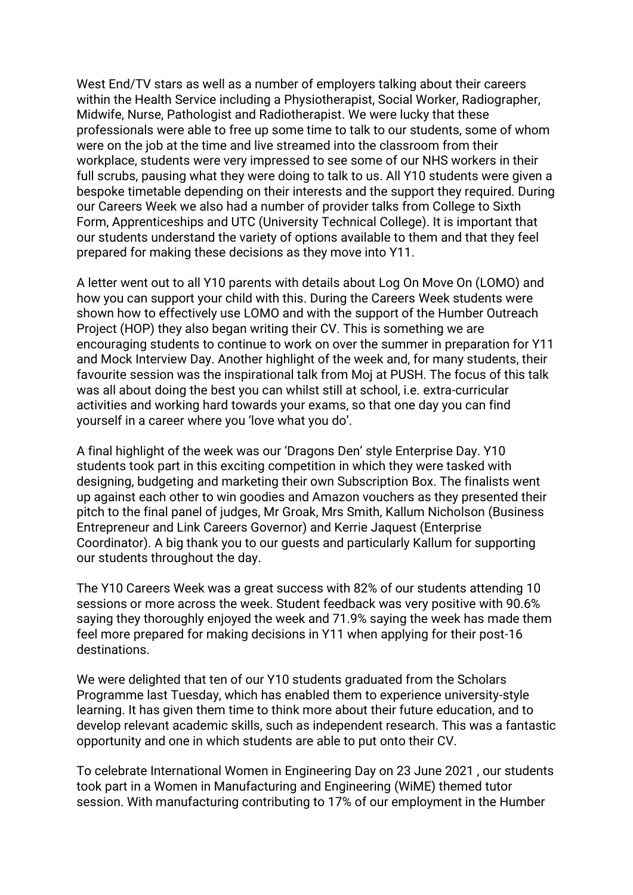West End/TV stars as well as a number of employers talking about their careers within the Health Service including a Physiotherapist, Social Worker, Radiographer, Midwife, Nurse, Pathologist and Radiotherapist. We were lucky that these professionals were able to free up some time to talk to our students, some of whom were on the job at the time and live streamed into the classroom from their workplace, students were very impressed to see some of our NHS workers in their full scrubs, pausing what they were doing to talk to us. All Y10 students were given a bespoke timetable depending on their interests and the support they required. During our Careers Week we also had a number of provider talks from College to Sixth Form, Apprenticeships and UTC (University Technical College). It is important that our students understand the variety of options available to them and that they feel prepared for making these decisions as they move into Y11.

A letter went out to all Y10 parents with details about Log On Move On (LOMO) and how you can support your child with this. During the Careers Week students were shown how to effectively use LOMO and with the support of the Humber Outreach Project (HOP) they also began writing their CV. This is something we are encouraging students to continue to work on over the summer in preparation for Y11 and Mock Interview Day. Another highlight of the week and, for many students, their favourite session was the inspirational talk from Moj at PUSH. The focus of this talk was all about doing the best you can whilst still at school, i.e. extra-curricular activities and working hard towards your exams, so that one day you can find yourself in a career where you 'love what you do'.

A final highlight of the week was our 'Dragons Den' style Enterprise Day. Y10 students took part in this exciting competition in which they were tasked with designing, budgeting and marketing their own Subscription Box. The finalists went up against each other to win goodies and Amazon vouchers as they presented their pitch to the final panel of judges, Mr Groak, Mrs Smith, Kallum Nicholson (Business Entrepreneur and Link Careers Governor) and Kerrie Jaquest (Enterprise Coordinator). A big thank you to our guests and particularly Kallum for supporting our students throughout the day.

The Y10 Careers Week was a great success with 82% of our students attending 10 sessions or more across the week. Student feedback was very positive with 90.6% saying they thoroughly enjoyed the week and 71.9% saying the week has made them feel more prepared for making decisions in Y11 when applying for their post-16 destinations.

We were delighted that ten of our Y10 students graduated from the Scholars Programme last Tuesday, which has enabled them to experience university-style learning. It has given them time to think more about their future education, and to develop relevant academic skills, such as independent research. This was a fantastic opportunity and one in which students are able to put onto their CV.

To celebrate International Women in Engineering Day on 23 June 2021 , our students took part in a Women in Manufacturing and Engineering (WiME) themed tutor session. With manufacturing contributing to 17% of our employment in the Humber